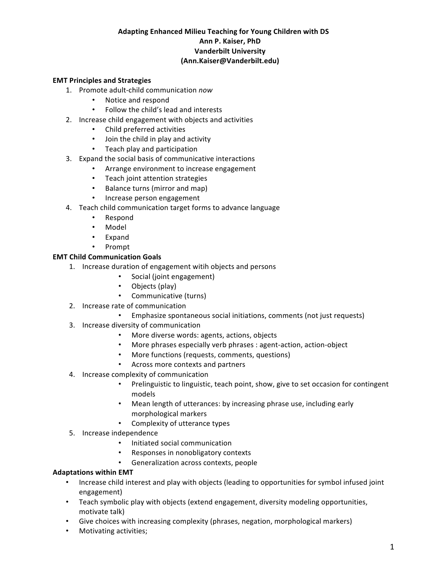# **Adapting Enhanced Milieu Teaching for Young Children with DS Ann P. Kaiser, PhD Vanderbilt University (Ann.Kaiser@Vanderbilt.edu)**

### **EMT Principles and Strategies**

- 1. Promote adult-child communication *now* 
	- Notice and respond
	- Follow the child's lead and interests
- 2. Increase child engagement with objects and activities
	- Child preferred activities
	- Join the child in play and activity
	- Teach play and participation
- 3. Expand the social basis of communicative interactions
	- Arrange environment to increase engagement
	- Teach joint attention strategies
	- Balance turns (mirror and map)
	- Increase person engagement
- 4. Teach child communication target forms to advance language
	- Respond
	- Model
	- **Expand**
	- Prompt

### **EMT Child Communication Goals**

- 1. Increase duration of engagement witih objects and persons
	- Social (joint engagement)
	- Objects (play)
	- Communicative (turns)
- 2. Increase rate of communication
	- Emphasize spontaneous social initiations, comments (not just requests)
- 3. Increase diversity of communication
	- More diverse words: agents, actions, objects
	- More phrases especially verb phrases : agent-action, action-object
	- More functions (requests, comments, questions)
	- Across more contexts and partners
- 4. Increase complexity of communication
	- Prelinguistic to linguistic, teach point, show, give to set occasion for contingent models
	- Mean length of utterances: by increasing phrase use, including early morphological markers
	- Complexity of utterance types
- 5. Increase independence
	- Initiated social communication
	- Responses in nonobligatory contexts
	- Generalization across contexts, people

#### **Adaptations within EMT**

- Increase child interest and play with objects (leading to opportunities for symbol infused joint engagement)
- Teach symbolic play with objects (extend engagement, diversity modeling opportunities, motivate talk)
- Give choices with increasing complexity (phrases, negation, morphological markers)
- Motivating activities;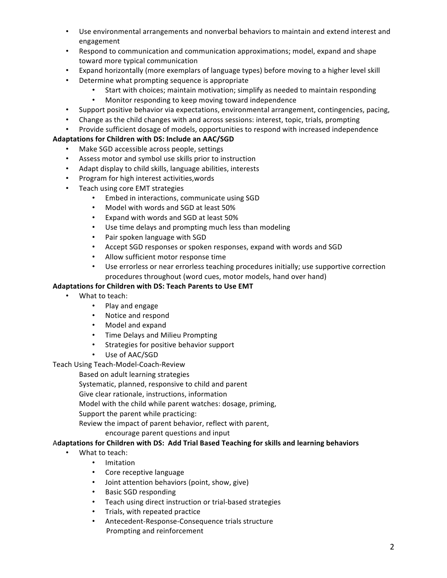- Use environmental arrangements and nonverbal behaviors to maintain and extend interest and engagement
- Respond to communication and communication approximations; model, expand and shape toward more typical communication
- Expand horizontally (more exemplars of language types) before moving to a higher level skill
- Determine what prompting sequence is appropriate
	- Start with choices; maintain motivation; simplify as needed to maintain responding
	- Monitor responding to keep moving toward independence
- Support positive behavior via expectations, environmental arrangement, contingencies, pacing,
- Change as the child changes with and across sessions: interest, topic, trials, prompting
- Provide sufficient dosage of models, opportunities to respond with increased independence

# Adaptations for Children with DS: Include an AAC/SGD

- Make SGD accessible across people, settings
- Assess motor and symbol use skills prior to instruction
- Adapt display to child skills, language abilities, interests
- Program for high interest activities, words
- Teach using core EMT strategies
	- Embed in interactions, communicate using SGD
	- Model with words and SGD at least 50%
	- Expand with words and SGD at least 50%
	- Use time delays and prompting much less than modeling
	- Pair spoken language with SGD
	- Accept SGD responses or spoken responses, expand with words and SGD
	- Allow sufficient motor response time
	- Use errorless or near errorless teaching procedures initially; use supportive correction procedures throughout (word cues, motor models, hand over hand)

# Adaptations for Children with DS: Teach Parents to Use EMT

- What to teach:
	- Play and engage
	- Notice and respond
	- Model and expand
	- Time Delays and Milieu Prompting
	- Strategies for positive behavior support
	- Use of AAC/SGD

Teach Using Teach-Model-Coach-Review

Based on adult learning strategies

Systematic, planned, responsive to child and parent

Give clear rationale, instructions, information

Model with the child while parent watches: dosage, priming,

Support the parent while practicing:

Review the impact of parent behavior, reflect with parent,

encourage parent questions and input

# Adaptations for Children with DS: Add Trial Based Teaching for skills and learning behaviors

- What to teach:
	- Imitation
	- Core receptive language
	- Joint attention behaviors (point, show, give)
	- Basic SGD responding
	- Teach using direct instruction or trial-based strategies
	- Trials, with repeated practice
	- Antecedent-Response-Consequence trials structure Prompting and reinforcement